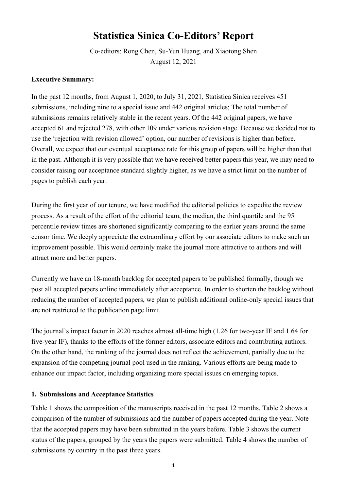# **Statistica Sinica Co-Editors' Report**

Co-editors: Rong Chen, Su-Yun Huang, and Xiaotong Shen August 12, 2021

# **Executive Summary:**

In the past 12 months, from August 1, 2020, to July 31, 2021, Statistica Sinica receives 451 submissions, including nine to a special issue and 442 original articles; The total number of submissions remains relatively stable in the recent years. Of the 442 original papers, we have accepted 61 and rejected 278, with other 109 under various revision stage. Because we decided not to use the 'rejection with revision allowed' option, our number of revisions is higher than before. Overall, we expect that our eventual acceptance rate for this group of papers will be higher than that in the past. Although it is very possible that we have received better papers this year, we may need to consider raising our acceptance standard slightly higher, as we have a strict limit on the number of pages to publish each year.

During the first year of our tenure, we have modified the editorial policies to expedite the review process. As a result of the effort of the editorial team, the median, the third quartile and the 95 percentile review times are shortened significantly comparing to the earlier years around the same censor time. We deeply appreciate the extraordinary effort by our associate editors to make such an improvement possible. This would certainly make the journal more attractive to authors and will attract more and better papers.

Currently we have an 18-month backlog for accepted papers to be published formally, though we post all accepted papers online immediately after acceptance. In order to shorten the backlog without reducing the number of accepted papers, we plan to publish additional online-only special issues that are not restricted to the publication page limit.

The journal's impact factor in 2020 reaches almost all-time high (1.26 for two-year IF and 1.64 for five-year IF), thanks to the efforts of the former editors, associate editors and contributing authors. On the other hand, the ranking of the journal does not reflect the achievement, partially due to the expansion of the competing journal pool used in the ranking. Various efforts are being made to enhance our impact factor, including organizing more special issues on emerging topics.

# **1. Submissions and Acceptance Statistics**

Table 1 shows the composition of the manuscripts received in the past 12 months. Table 2 shows a comparison of the number of submissions and the number of papers accepted during the year. Note that the accepted papers may have been submitted in the years before. Table 3 shows the current status of the papers, grouped by the years the papers were submitted. Table 4 shows the number of submissions by country in the past three years.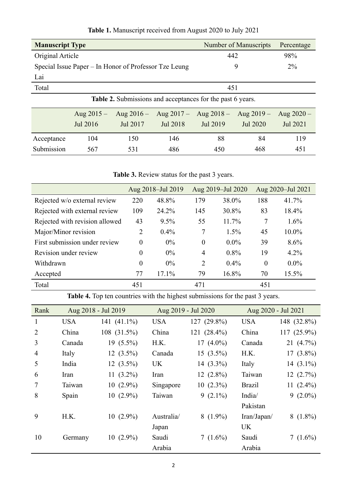| <b>Manuscript Type</b> |                                                       |                                                                   | <b>Number of Manuscripts</b> | Percentage   |              |              |
|------------------------|-------------------------------------------------------|-------------------------------------------------------------------|------------------------------|--------------|--------------|--------------|
| Original Article       |                                                       |                                                                   |                              | 442          |              |              |
|                        | Special Issue Paper – In Honor of Professor Tze Leung |                                                                   | 9                            |              | $2\%$        |              |
| Lai                    |                                                       |                                                                   |                              |              |              |              |
| Total                  |                                                       |                                                                   |                              | 451          |              |              |
|                        |                                                       | <b>Table 2.</b> Submissions and acceptances for the past 6 years. |                              |              |              |              |
|                        | Aug $2015 -$                                          | Aug $2016 -$                                                      | Aug $2017 -$                 | Aug $2018 -$ | Aug $2019 -$ | Aug $2020 -$ |
|                        | Jul 2016                                              | Jul 2017                                                          | Jul 2018                     | Jul 2019     | Jul 2020     | Jul 2021     |
| Acceptance             | 104                                                   | 150                                                               | 146                          | 88           | 84           | 119          |
| Submission             | 567                                                   | 531                                                               | 486                          | 450          | 468          | 451          |

**Table 1.** Manuscript received from August 2020 to July 2021

**Table 3.** Review status for the past 3 years.

|                                |                  | Aug 2018-Jul 2019 |                | Aug 2019-Jul 2020 |          | Aug 2020-Jul 2021 |
|--------------------------------|------------------|-------------------|----------------|-------------------|----------|-------------------|
| Rejected w/o external review   | 220              | 48.8%             | 179            | 38.0%             | 188      | 41.7%             |
| Rejected with external review  | 109              | 24.2%             | 145            | 30.8%             | 83       | 18.4%             |
| Rejected with revision allowed | 43               | $9.5\%$           | 55             | 11.7%             | 7        | $1.6\%$           |
| Major/Minor revision           | $\overline{2}$   | $0.4\%$           | 7              | $1.5\%$           | 45       | 10.0%             |
| First submission under review  | $\overline{0}$   | $0\%$             | $\theta$       | $0.0\%$           | 39       | 8.6%              |
| Revision under review          | $\overline{0}$   | $0\%$             | $\overline{4}$ | $0.8\%$           | 19       | 4.2%              |
| Withdrawn                      | $\boldsymbol{0}$ | $0\%$             | 2              | $0.4\%$           | $\theta$ | $0.0\%$           |
| Accepted                       | 77               | 17.1%             | 79             | 16.8%             | 70       | 15.5%             |
| Total                          | 451              |                   | 471            |                   | 451      |                   |

**Table 4.** Top ten countries with the highest submissions for the past 3 years.

| Rank           |            | Aug 2018 - Jul 2019 |            | Aug 2019 - Jul 2020 | Aug 2020 - Jul 2021 |              |
|----------------|------------|---------------------|------------|---------------------|---------------------|--------------|
| 1              | <b>USA</b> | 141 (41.1%)         | <b>USA</b> | 127 (29.8%)         | <b>USA</b>          | 148 (32.8%)  |
| 2              | China      | 108 (31.5%)         | China      | 121 (28.4%)         | China               | 117 (25.9%)  |
| 3              | Canada     | $19(5.5\%)$         | H.K.       | 17 $(4.0\%)$        | Canada              | 21 $(4.7\%)$ |
| $\overline{4}$ | Italy      | $12(3.5\%)$         | Canada     | $15(3.5\%)$         | H.K.                | $17(3.8\%)$  |
| 5              | India      | $12(3.5\%)$         | <b>UK</b>  | 14 $(3.3\%)$        | Italy               | 14 $(3.1\%)$ |
| 6              | Iran       | 11 $(3.2\%)$        | Iran       | $12(2.8\%)$         | Taiwan              | $12(2.7\%)$  |
| 7              | Taiwan     | $10(2.9\%)$         | Singapore  | $10(2.3\%)$         | <b>Brazil</b>       | 11 $(2.4\%)$ |
| 8              | Spain      | $10(2.9\%)$         | Taiwan     | 9 $(2.1\%)$         | India/              | $9(2.0\%)$   |
|                |            |                     |            |                     | Pakistan            |              |
| 9              | H.K.       | $10(2.9\%)$         | Australia/ | $8(1.9\%)$          | Iran/Japan/         | $8(1.8\%)$   |
|                |            |                     | Japan      |                     | UK                  |              |
| 10             | Germany    | $10(2.9\%)$         | Saudi      | 7 $(1.6\%)$         | Saudi               | 7 $(1.6\%)$  |
|                |            |                     | Arabia     |                     | Arabia              |              |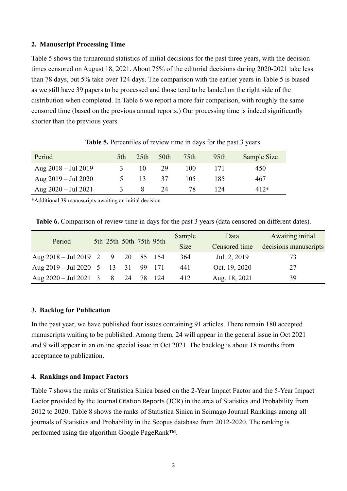#### **2. Manuscript Processing Time**

Table 5 shows the turnaround statistics of initial decisions for the past three years, with the decision times censored on August 18, 2021. About 75% of the editorial decisions during 2020-2021 take less than 78 days, but 5% take over 124 days. The comparison with the earlier years in Table 5 is biased as we still have 39 papers to be processed and those tend to be landed on the right side of the distribution when completed. In Table 6 we report a more fair comparison, with roughly the same censored time (based on the previous annual reports.) Our processing time is indeed significantly shorter than the previous years.

| Period                        | 5th      | 25 <sup>th</sup> | 50th | 75 <sub>th</sub> | 95 <sub>th</sub> | Sample Size |
|-------------------------------|----------|------------------|------|------------------|------------------|-------------|
| Aug $2018 - \text{Jul } 2019$ | 3        | $10^{\circ}$     | -29  | 100              | 171              | 450         |
| Aug $2019 - \text{Jul } 2020$ | $\Delta$ | 13               | 37   | 105              | 185              | 467         |
| Aug $2020 -$ Jul 2021         | 3        |                  | 24   | 78.              | 124              | $412*$      |

**Table 5.** Percentiles of review time in days for the past 3 years.

\*Additional 39 manuscripts awaiting an initial decision

**Table 6.** Comparison of review time in days for the past 3 years (data censored on different dates).

| Period                                                           |  |  | 5th 25th 50th 75th 95th | Sample      | Data          | Awaiting initial      |
|------------------------------------------------------------------|--|--|-------------------------|-------------|---------------|-----------------------|
|                                                                  |  |  |                         | <b>Size</b> | Censored time | decisions manuscripts |
| Aug $2018 - \text{Jul } 2019$ 2 9 20 85                          |  |  | -154                    | 364         | Jul. 2, 2019  | 73                    |
| Aug $2019 - \text{Jul } 2020 \quad 5 \quad 13 \quad 31 \quad 99$ |  |  | - 171                   | 441         | Oct. 19, 2020 | 27                    |
| Aug $2020 - \text{Jul } 2021$ 3 8 24 78                          |  |  | 124                     | 412         | Aug. 18, 2021 | 39                    |

# **3. Backlog for Publication**

In the past year, we have published four issues containing 91 articles. There remain 180 accepted manuscripts waiting to be published. Among them, 24 will appear in the general issue in Oct 2021 and 9 will appear in an online special issue in Oct 2021. The backlog is about 18 months from acceptance to publication.

# **4. Rankings and Impact Factors**

Table 7 shows the ranks of Statistica Sinica based on the 2-Year Impact Factor and the 5-Year Impact Factor provided by the Journal Citation Reports (JCR) in the area of Statistics and Probability from 2012 to 2020. Table 8 shows the ranks of Statistica Sinica in Scimago Journal Rankings among all journals of Statistics and Probability in the Scopus database from 2012-2020. The ranking is performed using the algorithm Google PageRank™.